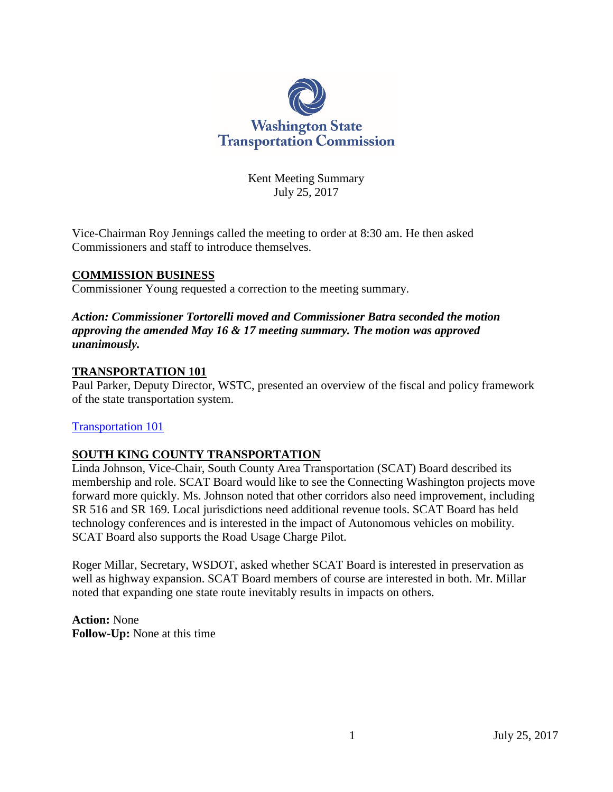

Kent Meeting Summary July 25, 2017

Vice-Chairman Roy Jennings called the meeting to order at 8:30 am. He then asked Commissioners and staff to introduce themselves.

## **COMMISSION BUSINESS**

Commissioner Young requested a correction to the meeting summary.

#### *Action: Commissioner Tortorelli moved and Commissioner Batra seconded the motion approving the amended May 16 & 17 meeting summary. The motion was approved unanimously.*

#### **TRANSPORTATION 101**

Paul Parker, Deputy Director, WSTC, presented an overview of the fiscal and policy framework of the state transportation system.

#### [Transportation 101](http://www.wstc.wa.gov/Meetings/AgendasMinutes/agendas/2017/July25/documents/2017_0725_BP3_Transportation101.pdf)

## **SOUTH KING COUNTY TRANSPORTATION**

Linda Johnson, Vice-Chair, South County Area Transportation (SCAT) Board described its membership and role. SCAT Board would like to see the Connecting Washington projects move forward more quickly. Ms. Johnson noted that other corridors also need improvement, including SR 516 and SR 169. Local jurisdictions need additional revenue tools. SCAT Board has held technology conferences and is interested in the impact of Autonomous vehicles on mobility. SCAT Board also supports the Road Usage Charge Pilot.

Roger Millar, Secretary, WSDOT, asked whether SCAT Board is interested in preservation as well as highway expansion. SCAT Board members of course are interested in both. Mr. Millar noted that expanding one state route inevitably results in impacts on others.

**Action:** None **Follow-Up:** None at this time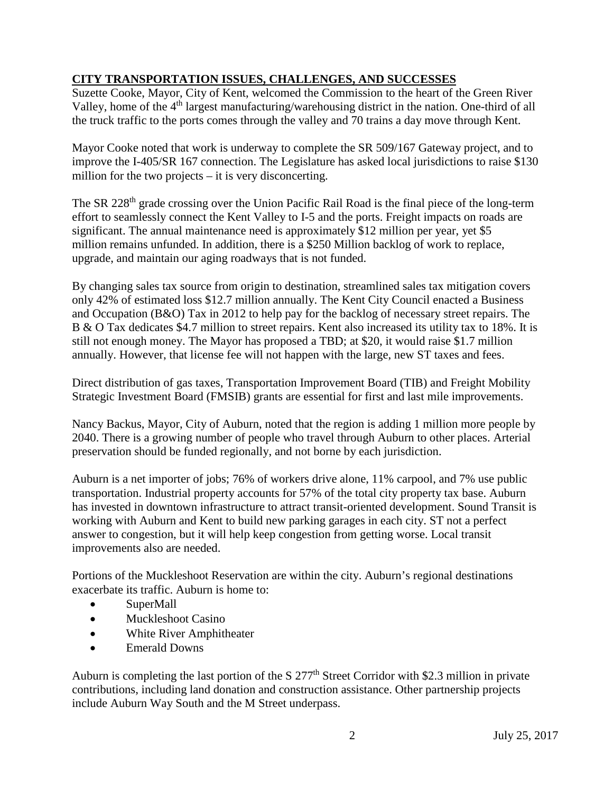# **CITY TRANSPORTATION ISSUES, CHALLENGES, AND SUCCESSES**

Suzette Cooke, Mayor, City of Kent, welcomed the Commission to the heart of the Green River Valley, home of the 4<sup>th</sup> largest manufacturing/warehousing district in the nation. One-third of all the truck traffic to the ports comes through the valley and 70 trains a day move through Kent.

Mayor Cooke noted that work is underway to complete the SR 509/167 Gateway project, and to improve the I-405/SR 167 connection. The Legislature has asked local jurisdictions to raise \$130 million for the two projects – it is very disconcerting.

The SR 228<sup>th</sup> grade crossing over the Union Pacific Rail Road is the final piece of the long-term effort to seamlessly connect the Kent Valley to I-5 and the ports. Freight impacts on roads are significant. The annual maintenance need is approximately \$12 million per year, yet \$5 million remains unfunded. In addition, there is a \$250 Million backlog of work to replace, upgrade, and maintain our aging roadways that is not funded.

By changing sales tax source from origin to destination, streamlined sales tax mitigation covers only 42% of estimated loss \$12.7 million annually. The Kent City Council enacted a Business and Occupation (B&O) Tax in 2012 to help pay for the backlog of necessary street repairs. The B & O Tax dedicates \$4.7 million to street repairs. Kent also increased its utility tax to 18%. It is still not enough money. The Mayor has proposed a TBD; at \$20, it would raise \$1.7 million annually. However, that license fee will not happen with the large, new ST taxes and fees.

Direct distribution of gas taxes, Transportation Improvement Board (TIB) and Freight Mobility Strategic Investment Board (FMSIB) grants are essential for first and last mile improvements.

Nancy Backus, Mayor, City of Auburn, noted that the region is adding 1 million more people by 2040. There is a growing number of people who travel through Auburn to other places. Arterial preservation should be funded regionally, and not borne by each jurisdiction.

Auburn is a net importer of jobs; 76% of workers drive alone, 11% carpool, and 7% use public transportation. Industrial property accounts for 57% of the total city property tax base. Auburn has invested in downtown infrastructure to attract transit-oriented development. Sound Transit is working with Auburn and Kent to build new parking garages in each city. ST not a perfect answer to congestion, but it will help keep congestion from getting worse. Local transit improvements also are needed.

Portions of the Muckleshoot Reservation are within the city. Auburn's regional destinations exacerbate its traffic. Auburn is home to:

- SuperMall
- Muckleshoot Casino
- White River Amphitheater
- Emerald Downs

Auburn is completing the last portion of the S  $277<sup>th</sup>$  Street Corridor with \$2.3 million in private contributions, including land donation and construction assistance. Other partnership projects include Auburn Way South and the M Street underpass.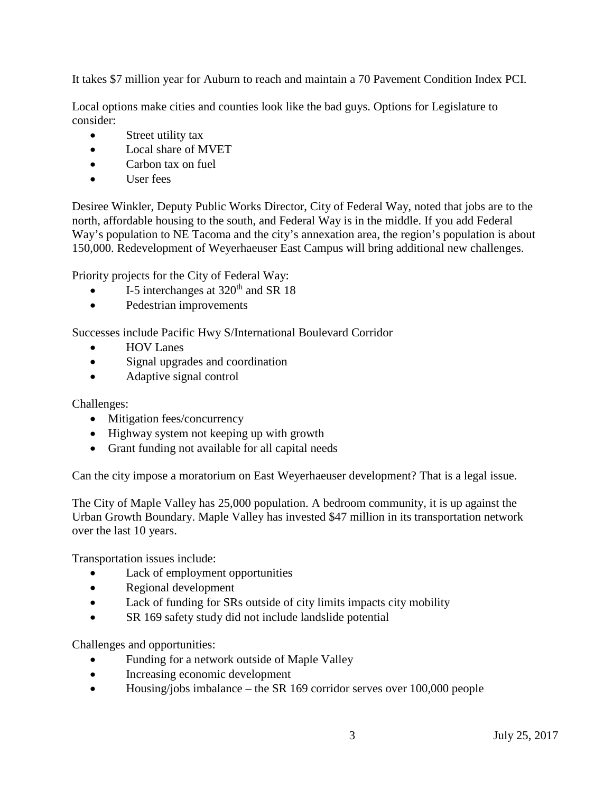It takes \$7 million year for Auburn to reach and maintain a 70 Pavement Condition Index PCI.

Local options make cities and counties look like the bad guys. Options for Legislature to consider:

- Street utility tax
- Local share of MVET
- Carbon tax on fuel
- User fees

Desiree Winkler, Deputy Public Works Director, City of Federal Way, noted that jobs are to the north, affordable housing to the south, and Federal Way is in the middle. If you add Federal Way's population to NE Tacoma and the city's annexation area, the region's population is about 150,000. Redevelopment of Weyerhaeuser East Campus will bring additional new challenges.

Priority projects for the City of Federal Way:

- I-5 interchanges at 320<sup>th</sup> and SR 18
- Pedestrian improvements

Successes include Pacific Hwy S/International Boulevard Corridor

- HOV Lanes
- Signal upgrades and coordination
- Adaptive signal control

Challenges:

- Mitigation fees/concurrency
- Highway system not keeping up with growth
- Grant funding not available for all capital needs

Can the city impose a moratorium on East Weyerhaeuser development? That is a legal issue.

The City of Maple Valley has 25,000 population. A bedroom community, it is up against the Urban Growth Boundary. Maple Valley has invested \$47 million in its transportation network over the last 10 years.

Transportation issues include:

- Lack of employment opportunities
- Regional development
- Lack of funding for SRs outside of city limits impacts city mobility
- SR 169 safety study did not include landslide potential

Challenges and opportunities:

- Funding for a network outside of Maple Valley
- Increasing economic development
- Housing/jobs imbalance the SR 169 corridor serves over 100,000 people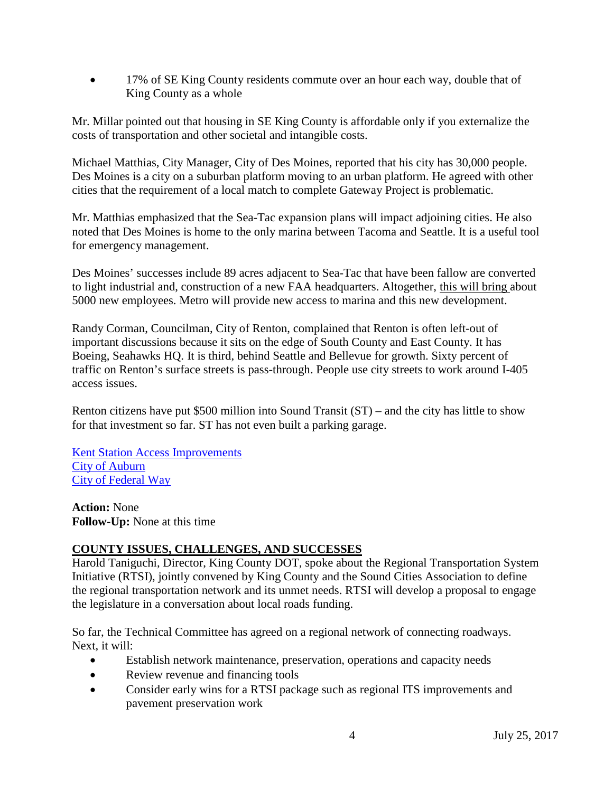• 17% of SE King County residents commute over an hour each way, double that of King County as a whole

Mr. Millar pointed out that housing in SE King County is affordable only if you externalize the costs of transportation and other societal and intangible costs.

Michael Matthias, City Manager, City of Des Moines, reported that his city has 30,000 people. Des Moines is a city on a suburban platform moving to an urban platform. He agreed with other cities that the requirement of a local match to complete Gateway Project is problematic.

Mr. Matthias emphasized that the Sea-Tac expansion plans will impact adjoining cities. He also noted that Des Moines is home to the only marina between Tacoma and Seattle. It is a useful tool for emergency management.

Des Moines' successes include 89 acres adjacent to Sea-Tac that have been fallow are converted to light industrial and, construction of a new FAA headquarters. Altogether, this will bring about 5000 new employees. Metro will provide new access to marina and this new development.

Randy Corman, Councilman, City of Renton, complained that Renton is often left-out of important discussions because it sits on the edge of South County and East County. It has Boeing, Seahawks HQ. It is third, behind Seattle and Bellevue for growth. Sixty percent of traffic on Renton's surface streets is pass-through. People use city streets to work around I-405 access issues.

Renton citizens have put \$500 million into Sound Transit (ST) – and the city has little to show for that investment so far. ST has not even built a parking garage.

[Kent Station Access Improvements](http://www.wstc.wa.gov/Meetings/AgendasMinutes/agendas/2017/July25/documents/2017_0725_BP5_KentAccessImprovements.pdf) [City of Auburn](http://www.wstc.wa.gov/Meetings/AgendasMinutes/agendas/2017/July25/documents/2017_0725_BP5_CityofAuburn.pdf)  City [of Federal Way](http://www.wstc.wa.gov/Meetings/AgendasMinutes/agendas/2017/July25/documents/2017_0725_BP5_CityofFederalWay.pdf)

**Action:** None **Follow-Up:** None at this time

# **COUNTY ISSUES, CHALLENGES, AND SUCCESSES**

Harold Taniguchi, Director, King County DOT, spoke about the Regional Transportation System Initiative (RTSI), jointly convened by King County and the Sound Cities Association to define the regional transportation network and its unmet needs. RTSI will develop a proposal to engage the legislature in a conversation about local roads funding.

So far, the Technical Committee has agreed on a regional network of connecting roadways. Next, it will:

- Establish network maintenance, preservation, operations and capacity needs
- Review revenue and financing tools
- Consider early wins for a RTSI package such as regional ITS improvements and pavement preservation work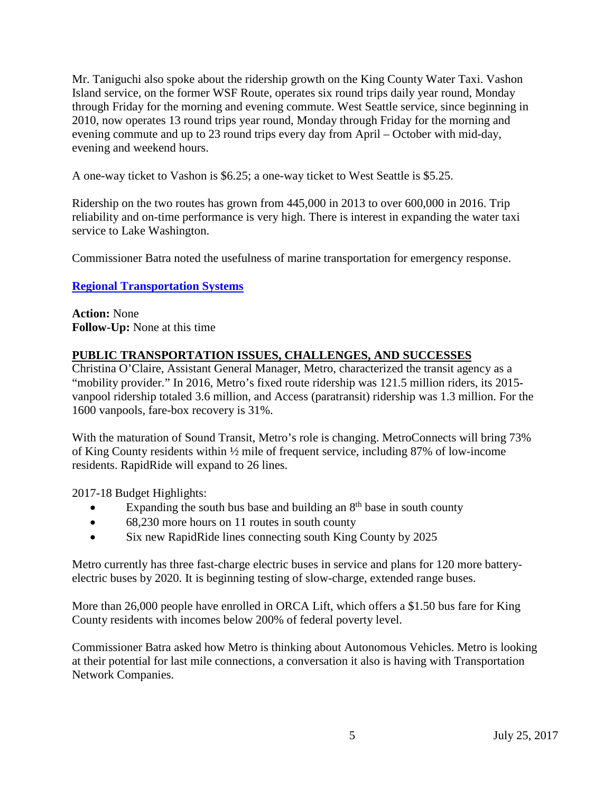Mr. Taniguchi also spoke about the ridership growth on the King County Water Taxi. Vashon Island service, on the former WSF Route, operates six round trips daily year round, Monday through Friday for the morning and evening commute. West Seattle service, since beginning in 2010, now operates 13 round trips year round, Monday through Friday for the morning and evening commute and up to 23 round trips every day from April – October with mid-day, evening and weekend hours.

A one-way ticket to Vashon is \$6.25; a one-way ticket to West Seattle is \$5.25.

Ridership on the two routes has grown from 445,000 in 2013 to over 600,000 in 2016. Trip reliability and on-time performance is very high. There is interest in expanding the water taxi service to Lake Washington.

Commissioner Batra noted the usefulness of marine transportation for emergency response.

# **[Regional Transportation Systems](http://www.wstc.wa.gov/Meetings/AgendasMinutes/agendas/2017/July25/documents/2017_0725_BP6_RegionalTransSys.pdf)**

**Action:** None **Follow-Up:** None at this time

# **PUBLIC TRANSPORTATION ISSUES, CHALLENGES, AND SUCCESSES**

Christina O'Claire, Assistant General Manager, Metro, characterized the transit agency as a "mobility provider." In 2016, Metro's fixed route ridership was 121.5 million riders, its 2015vanpool ridership totaled 3.6 million, and Access (paratransit) ridership was 1.3 million. For the 1600 vanpools, fare-box recovery is 31%.

With the maturation of Sound Transit, Metro's role is changing. MetroConnects will bring 73% of King County residents within ½ mile of frequent service, including 87% of low-income residents. RapidRide will expand to 26 lines.

2017-18 Budget Highlights:

- Expanding the south bus base and building an  $8<sup>th</sup>$  base in south county
- 68,230 more hours on 11 routes in south county
- Six new RapidRide lines connecting south King County by 2025

Metro currently has three fast-charge electric buses in service and plans for 120 more batteryelectric buses by 2020. It is beginning testing of slow-charge, extended range buses.

More than 26,000 people have enrolled in ORCA Lift, which offers a \$1.50 bus fare for King County residents with incomes below 200% of federal poverty level.

Commissioner Batra asked how Metro is thinking about Autonomous Vehicles. Metro is looking at their potential for last mile connections, a conversation it also is having with Transportation Network Companies.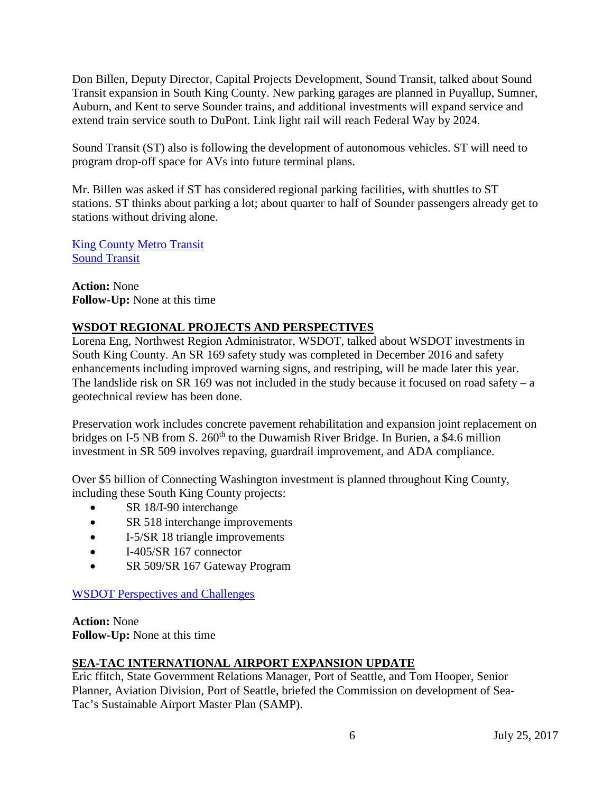Don Billen, Deputy Director, Capital Projects Development, Sound Transit, talked about Sound Transit expansion in South King County. New parking garages are planned in Puyallup, Sumner, Auburn, and Kent to serve Sounder trains, and additional investments will expand service and extend train service south to DuPont. Link light rail will reach Federal Way by 2024.

Sound Transit (ST) also is following the development of autonomous vehicles. ST will need to program drop-off space for AVs into future terminal plans.

Mr. Billen was asked if ST has considered regional parking facilities, with shuttles to ST stations. ST thinks about parking a lot; about quarter to half of Sounder passengers already get to stations without driving alone.

[King County Metro Transit](http://www.wstc.wa.gov/Meetings/AgendasMinutes/agendas/2017/July25/documents/2017_0725_BP7_KCMetroTransit.pdf) [Sound Transit](http://www.wstc.wa.gov/Meetings/AgendasMinutes/agendas/2017/July25/documents/2017_0725_BP_7_SoundTransit.pdf)

**Action:** None **Follow-Up:** None at this time

# **WSDOT REGIONAL PROJECTS AND PERSPECTIVES**

Lorena Eng, Northwest Region Administrator, WSDOT, talked about WSDOT investments in South King County. An SR 169 safety study was completed in December 2016 and safety enhancements including improved warning signs, and restriping, will be made later this year. The landslide risk on SR 169 was not included in the study because it focused on road safety – a geotechnical review has been done.

Preservation work includes concrete pavement rehabilitation and expansion joint replacement on bridges on I-5 NB from S.  $260<sup>th</sup>$  to the Duwamish River Bridge. In Burien, a \$4.6 million investment in SR 509 involves repaving, guardrail improvement, and ADA compliance.

Over \$5 billion of Connecting Washington investment is planned throughout King County, including these South King County projects:

- SR 18/I-90 interchange
- SR 518 interchange improvements
- I-5/SR 18 triangle improvements
- I-405/SR 167 connector
- SR 509/SR 167 Gateway Program

[WSDOT Perspectives](http://www.wstc.wa.gov/Meetings/AgendasMinutes/agendas/2017/July25/documents/2017_0725_BP8_SuccessandChallenges.pdf) and Challenges

**Action:** None **Follow-Up:** None at this time

# **SEA-TAC INTERNATIONAL AIRPORT EXPANSION UPDATE**

Eric ffitch, State Government Relations Manager, Port of Seattle, and Tom Hooper, Senior Planner, Aviation Division, Port of Seattle, briefed the Commission on development of Sea-Tac's Sustainable Airport Master Plan (SAMP).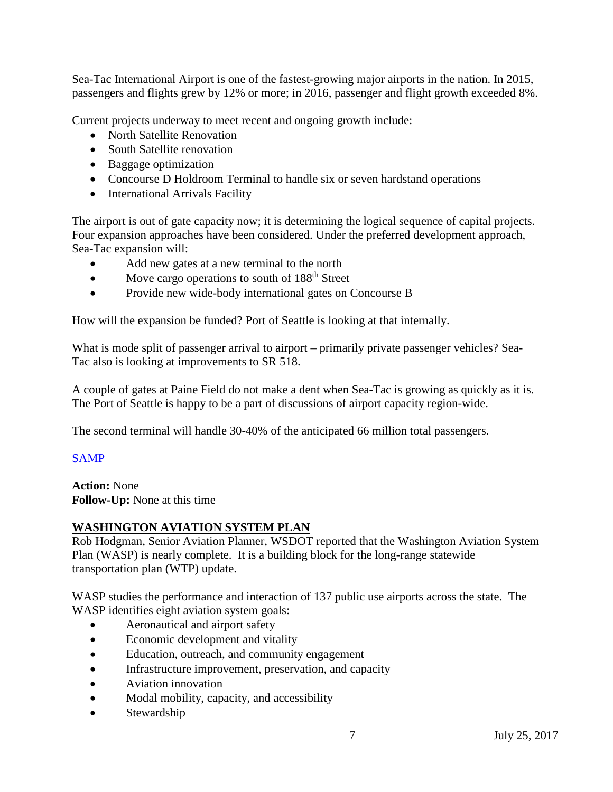Sea-Tac International Airport is one of the fastest-growing major airports in the nation. In 2015, passengers and flights grew by 12% or more; in 2016, passenger and flight growth exceeded 8%.

Current projects underway to meet recent and ongoing growth include:

- North Satellite Renovation
- South Satellite renovation
- Baggage optimization
- Concourse D Holdroom Terminal to handle six or seven hardstand operations
- International Arrivals Facility

The airport is out of gate capacity now; it is determining the logical sequence of capital projects. Four expansion approaches have been considered. Under the preferred development approach, Sea-Tac expansion will:

- Add new gates at a new terminal to the north
- Move cargo operations to south of 188<sup>th</sup> Street
- Provide new wide-body international gates on Concourse B

How will the expansion be funded? Port of Seattle is looking at that internally.

What is mode split of passenger arrival to airport – primarily private passenger vehicles? Sea-Tac also is looking at improvements to SR 518.

A couple of gates at Paine Field do not make a dent when Sea-Tac is growing as quickly as it is. The Port of Seattle is happy to be a part of discussions of airport capacity region-wide.

The second terminal will handle 30-40% of the anticipated 66 million total passengers.

## [SAMP](http://www.wstc.wa.gov/Meetings/AgendasMinutes/agendas/2017/July25/documents/2017_0725_BP9_SAMP.pdf)

**Action:** None **Follow-Up:** None at this time

# **WASHINGTON AVIATION SYSTEM PLAN**

Rob Hodgman, Senior Aviation Planner, WSDOT reported that the Washington Aviation System Plan (WASP) is nearly complete. It is a building block for the long-range statewide transportation plan (WTP) update.

WASP studies the performance and interaction of 137 public use airports across the state. The WASP identifies eight aviation system goals:

- Aeronautical and airport safety
- Economic development and vitality
- Education, outreach, and community engagement
- Infrastructure improvement, preservation, and capacity
- Aviation innovation
- Modal mobility, capacity, and accessibility
- **Stewardship**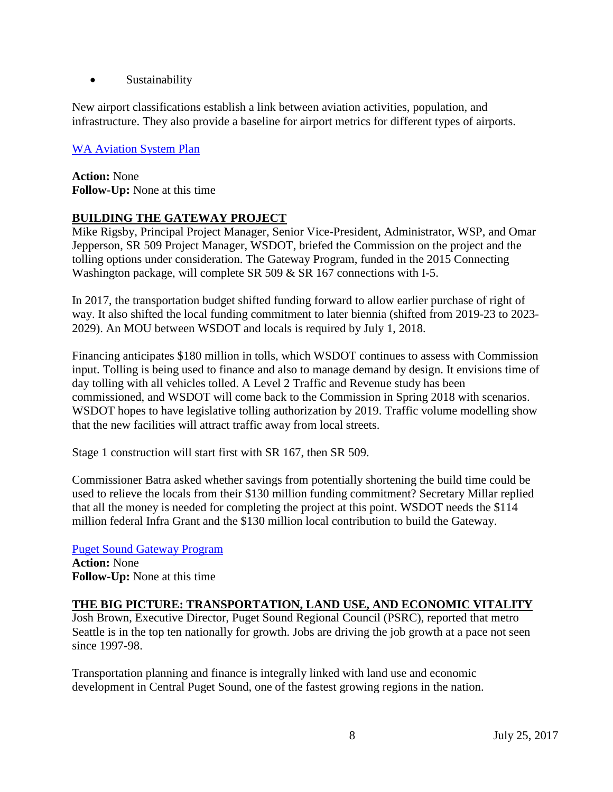• Sustainability

New airport classifications establish a link between aviation activities, population, and infrastructure. They also provide a baseline for airport metrics for different types of airports.

## [WA Aviation System Plan](http://www.wstc.wa.gov/Meetings/AgendasMinutes/agendas/2017/July25/documents/2017_0725_BP10_WAAviationSystemPlan.pdf)

**Action:** None **Follow-Up:** None at this time

## **BUILDING THE GATEWAY PROJECT**

Mike Rigsby, Principal Project Manager, Senior Vice-President, Administrator, WSP, and Omar Jepperson, SR 509 Project Manager, WSDOT, briefed the Commission on the project and the tolling options under consideration. The Gateway Program, funded in the 2015 Connecting Washington package, will complete SR 509 & SR 167 connections with I-5.

In 2017, the transportation budget shifted funding forward to allow earlier purchase of right of way. It also shifted the local funding commitment to later biennia (shifted from 2019-23 to 2023- 2029). An MOU between WSDOT and locals is required by July 1, 2018.

Financing anticipates \$180 million in tolls, which WSDOT continues to assess with Commission input. Tolling is being used to finance and also to manage demand by design. It envisions time of day tolling with all vehicles tolled. A Level 2 Traffic and Revenue study has been commissioned, and WSDOT will come back to the Commission in Spring 2018 with scenarios. WSDOT hopes to have legislative tolling authorization by 2019. Traffic volume modelling show that the new facilities will attract traffic away from local streets.

Stage 1 construction will start first with SR 167, then SR 509.

Commissioner Batra asked whether savings from potentially shortening the build time could be used to relieve the locals from their \$130 million funding commitment? Secretary Millar replied that all the money is needed for completing the project at this point. WSDOT needs the \$114 million federal Infra Grant and the \$130 million local contribution to build the Gateway.

#### [Puget Sound Gateway Program](http://www.wstc.wa.gov/Meetings/AgendasMinutes/agendas/2017/July25/documents/2017_0725_BP11_PugetSoundGatewayProgram.pdf)

**Action:** None **Follow-Up:** None at this time

## **THE BIG PICTURE: TRANSPORTATION, LAND USE, AND ECONOMIC VITALITY**

Josh Brown, Executive Director, Puget Sound Regional Council (PSRC), reported that metro Seattle is in the top ten nationally for growth. Jobs are driving the job growth at a pace not seen since 1997-98.

Transportation planning and finance is integrally linked with land use and economic development in Central Puget Sound, one of the fastest growing regions in the nation.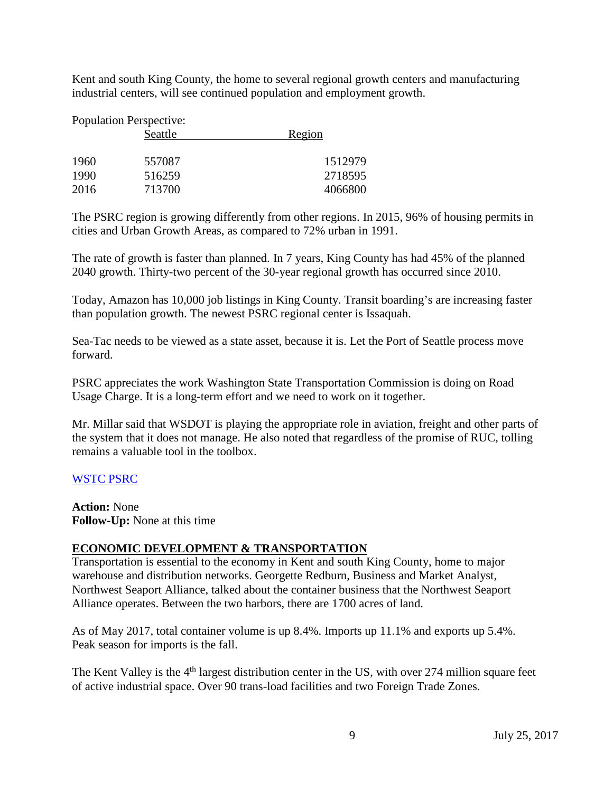Kent and south King County, the home to several regional growth centers and manufacturing industrial centers, will see continued population and employment growth.

| <b>Population Perspective:</b> |         |         |
|--------------------------------|---------|---------|
|                                | Seattle | Region  |
| 1960                           | 557087  | 1512979 |
| 1990                           | 516259  | 2718595 |
| 2016                           | 713700  | 4066800 |

The PSRC region is growing differently from other regions. In 2015, 96% of housing permits in cities and Urban Growth Areas, as compared to 72% urban in 1991.

The rate of growth is faster than planned. In 7 years, King County has had 45% of the planned 2040 growth. Thirty-two percent of the 30-year regional growth has occurred since 2010.

Today, Amazon has 10,000 job listings in King County. Transit boarding's are increasing faster than population growth. The newest PSRC regional center is Issaquah.

Sea-Tac needs to be viewed as a state asset, because it is. Let the Port of Seattle process move forward.

PSRC appreciates the work Washington State Transportation Commission is doing on Road Usage Charge. It is a long-term effort and we need to work on it together.

Mr. Millar said that WSDOT is playing the appropriate role in aviation, freight and other parts of the system that it does not manage. He also noted that regardless of the promise of RUC, tolling remains a valuable tool in the toolbox.

## [WSTC PSRC](http://www.wstc.wa.gov/Meetings/AgendasMinutes/agendas/2017/July25/documents/2017_0725_BP12_WSTCPugetSoundRegionalCouncil.pdf)

**Action:** None **Follow-Up:** None at this time

## **ECONOMIC DEVELOPMENT & TRANSPORTATION**

Transportation is essential to the economy in Kent and south King County, home to major warehouse and distribution networks. Georgette Redburn, Business and Market Analyst, Northwest Seaport Alliance, talked about the container business that the Northwest Seaport Alliance operates. Between the two harbors, there are 1700 acres of land.

As of May 2017, total container volume is up 8.4%. Imports up 11.1% and exports up 5.4%. Peak season for imports is the fall.

The Kent Valley is the 4<sup>th</sup> largest distribution center in the US, with over 274 million square feet of active industrial space. Over 90 trans-load facilities and two Foreign Trade Zones.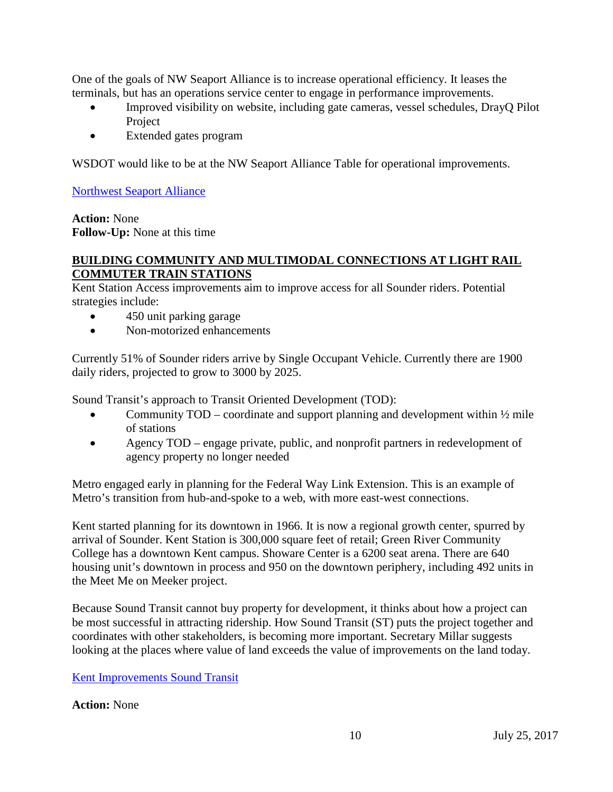One of the goals of NW Seaport Alliance is to increase operational efficiency. It leases the terminals, but has an operations service center to engage in performance improvements.

- Improved visibility on website, including gate cameras, vessel schedules, DrayO Pilot Project
- Extended gates program

WSDOT would like to be at the NW Seaport Alliance Table for operational improvements.

[Northwest Seaport Alliance](http://www.wstc.wa.gov/Meetings/AgendasMinutes/agendas/2017/July25/documents/2017_0725_BP13_NWSA.pdf)

**Action:** None **Follow-Up:** None at this time

#### **BUILDING COMMUNITY AND MULTIMODAL CONNECTIONS AT LIGHT RAIL COMMUTER TRAIN STATIONS**

Kent Station Access improvements aim to improve access for all Sounder riders. Potential strategies include:

- 450 unit parking garage
- Non-motorized enhancements

Currently 51% of Sounder riders arrive by Single Occupant Vehicle. Currently there are 1900 daily riders, projected to grow to 3000 by 2025.

Sound Transit's approach to Transit Oriented Development (TOD):

- Community  $TOD -$  coordinate and support planning and development within  $\frac{1}{2}$  mile of stations
- Agency TOD engage private, public, and nonprofit partners in redevelopment of agency property no longer needed

Metro engaged early in planning for the Federal Way Link Extension. This is an example of Metro's transition from hub-and-spoke to a web, with more east-west connections.

Kent started planning for its downtown in 1966. It is now a regional growth center, spurred by arrival of Sounder. Kent Station is 300,000 square feet of retail; Green River Community College has a downtown Kent campus. Showare Center is a 6200 seat arena. There are 640 housing unit's downtown in process and 950 on the downtown periphery, including 492 units in the Meet Me on Meeker project.

Because Sound Transit cannot buy property for development, it thinks about how a project can be most successful in attracting ridership. How Sound Transit (ST) puts the project together and coordinates with other stakeholders, is becoming more important. Secretary Millar suggests looking at the places where value of land exceeds the value of improvements on the land today.

[Kent Improvements Sound Transit](http://www.wstc.wa.gov/Meetings/AgendasMinutes/agendas/2017/July25/documents/2017_0725_BP14_KentStationImprovements.pdf)

#### **Action:** None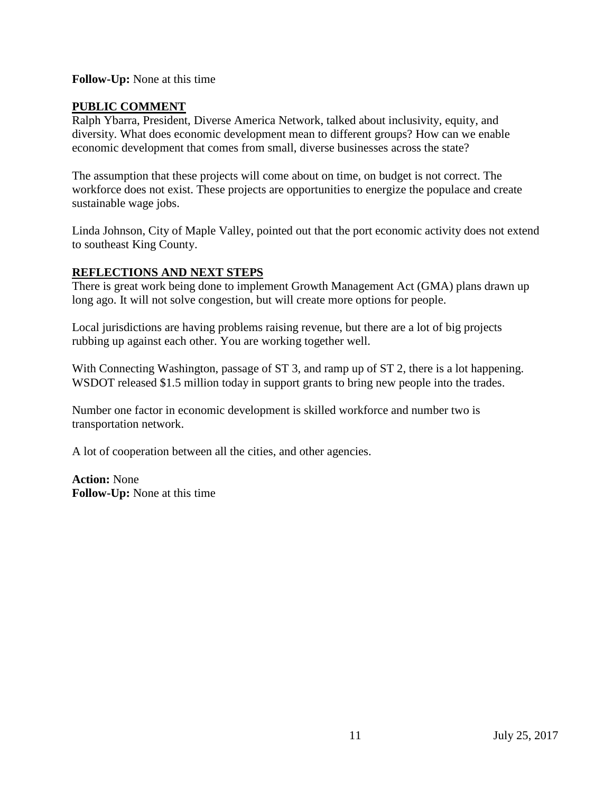#### **Follow-Up:** None at this time

## **PUBLIC COMMENT**

Ralph Ybarra, President, Diverse America Network, talked about inclusivity, equity, and diversity. What does economic development mean to different groups? How can we enable economic development that comes from small, diverse businesses across the state?

The assumption that these projects will come about on time, on budget is not correct. The workforce does not exist. These projects are opportunities to energize the populace and create sustainable wage jobs.

Linda Johnson, City of Maple Valley, pointed out that the port economic activity does not extend to southeast King County.

#### **REFLECTIONS AND NEXT STEPS**

There is great work being done to implement Growth Management Act (GMA) plans drawn up long ago. It will not solve congestion, but will create more options for people.

Local jurisdictions are having problems raising revenue, but there are a lot of big projects rubbing up against each other. You are working together well.

With Connecting Washington, passage of ST 3, and ramp up of ST 2, there is a lot happening. WSDOT released \$1.5 million today in support grants to bring new people into the trades.

Number one factor in economic development is skilled workforce and number two is transportation network.

A lot of cooperation between all the cities, and other agencies.

**Action:** None **Follow-Up:** None at this time